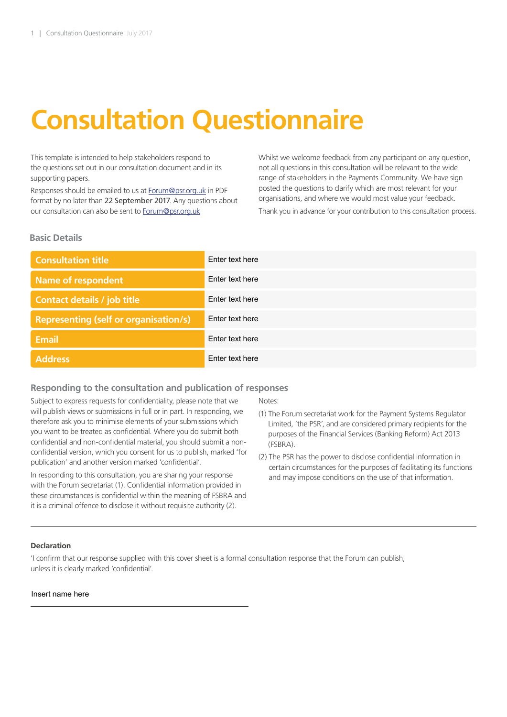# **Consultation Questionnaire**

This template is intended to help stakeholders respond to the questions set out in our consultation document and in its supporting papers.

Responses should be emailed to us at Forum@psr.org.uk in PDF format by no later than 22 September 2017. Any questions about our consultation can also be sent to Forum@psr.org.uk

Whilst we welcome feedback from any participant on any question, not all questions in this consultation will be relevant to the wide range of stakeholders in the Payments Community. We have sign posted the questions to clarify which are most relevant for your organisations, and where we would most value your feedback.

Thank you in advance for your contribution to this consultation process.

### **Basic Details**

| <b>Consultation title</b>                    | Enter text here |
|----------------------------------------------|-----------------|
| <b>Name of respondent</b>                    | Enter text here |
| <b>Contact details / job title</b>           | Enter text here |
| <b>Representing (self or organisation/s)</b> | Enter text here |
| <b>Email</b>                                 | Enter text here |
| Address <sup>1</sup>                         | Enter text here |

## **Responding to the consultation and publication of responses**

Subject to express requests for confidentiality, please note that we will publish views or submissions in full or in part. In responding, we therefore ask you to minimise elements of your submissions which you want to be treated as confidential. Where you do submit both confidential and non-confidential material, you should submit a nonconfidential version, which you consent for us to publish, marked 'for publication' and another version marked 'confidential'.

In responding to this consultation, you are sharing your response with the Forum secretariat (1). Confidential information provided in these circumstances is confidential within the meaning of FSBRA and it is a criminal offence to disclose it without requisite authority (2).

Notes:

- (1) The Forum secretariat work for the Payment Systems Regulator Limited, 'the PSR', and are considered primary recipients for the purposes of the Financial Services (Banking Reform) Act 2013 (FSBRA).
- (2) The PSR has the power to disclose confidential information in certain circumstances for the purposes of facilitating its functions and may impose conditions on the use of that information.

#### **Declaration**

'I confirm that our response supplied with this cover sheet is a formal consultation response that the Forum can publish, unless it is clearly marked 'confidential'.

#### Insert name here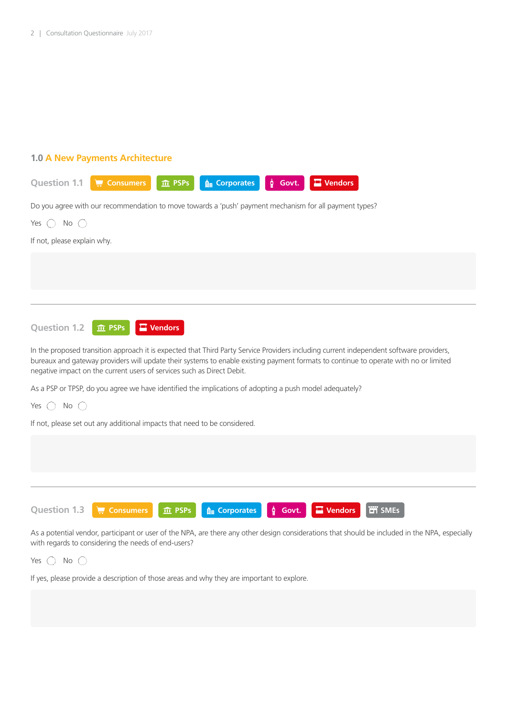# **1.0 A New Payments Architecture**

| <b>Question 1.1</b><br><b>A</b> Corporates<br>Consumers<br>ĝ<br>$\blacksquare$ Vendors<br><b>血 PSPs</b><br>Govt.                                                                                                                                                                                                                                          |
|-----------------------------------------------------------------------------------------------------------------------------------------------------------------------------------------------------------------------------------------------------------------------------------------------------------------------------------------------------------|
| Do you agree with our recommendation to move towards a 'push' payment mechanism for all payment types?                                                                                                                                                                                                                                                    |
| No $\bigcirc$<br>Yes $\bigcirc$                                                                                                                                                                                                                                                                                                                           |
| If not, please explain why.                                                                                                                                                                                                                                                                                                                               |
|                                                                                                                                                                                                                                                                                                                                                           |
|                                                                                                                                                                                                                                                                                                                                                           |
|                                                                                                                                                                                                                                                                                                                                                           |
| <b>Question 1.2</b><br>$\blacksquare$ Vendors<br><b>血 PSPs</b>                                                                                                                                                                                                                                                                                            |
| In the proposed transition approach it is expected that Third Party Service Providers including current independent software providers,<br>bureaux and gateway providers will update their systems to enable existing payment formats to continue to operate with no or limited<br>negative impact on the current users of services such as Direct Debit. |
| As a PSP or TPSP, do you agree we have identified the implications of adopting a push model adequately?                                                                                                                                                                                                                                                   |
| Yes $\bigcirc$ No $\bigcirc$                                                                                                                                                                                                                                                                                                                              |
| If not, please set out any additional impacts that need to be considered.                                                                                                                                                                                                                                                                                 |
|                                                                                                                                                                                                                                                                                                                                                           |
|                                                                                                                                                                                                                                                                                                                                                           |
|                                                                                                                                                                                                                                                                                                                                                           |
| <b>ET</b> SMEs<br><b>Question 1.3</b><br>$\blacksquare$ Vendors<br>$\phi$ Govt.<br><b>A</b> Corporates<br><b>E</b> Consumers<br>$\hat{m}$ PSPs                                                                                                                                                                                                            |
| As a potential vendor, participant or user of the NPA, are there any other design considerations that should be included in the NPA, especially                                                                                                                                                                                                           |

with regards to considering the needs of end-users?

Yes  $\bigcirc$  No  $\bigcirc$ 

If yes, please provide a description of those areas and why they are important to explore.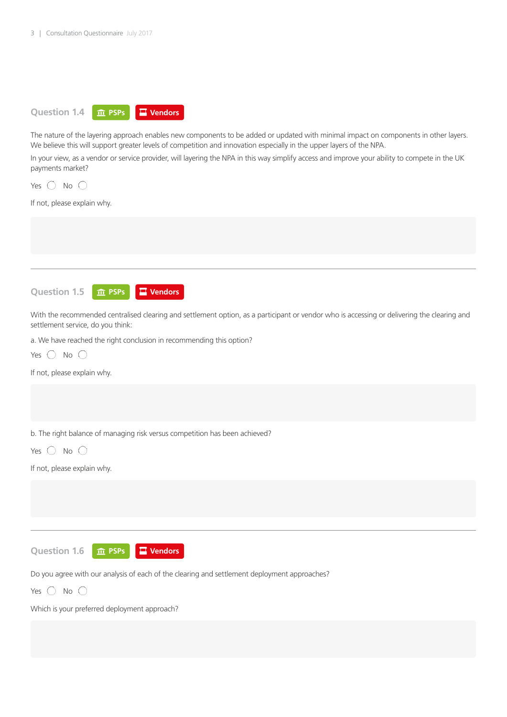

The nature of the layering approach enables new components to be added or updated with minimal impact on components in other layers. We believe this will support greater levels of competition and innovation especially in the upper layers of the NPA.

In your view, as a vendor or service provider, will layering the NPA in this way simplify access and improve your ability to compete in the UK payments market?

Yes  $\bigcirc$  No  $\bigcirc$ 

If not, please explain why.



With the recommended centralised clearing and settlement option, as a participant or vendor who is accessing or delivering the clearing and settlement service, do you think:

a. We have reached the right conclusion in recommending this option?

| Yes. | Νo |  |
|------|----|--|
|      |    |  |

If not, please explain why.

b. The right balance of managing risk versus competition has been achieved?

Yes  $\bigcirc$  No  $\bigcirc$ 

If not, please explain why.

**Question 1.6 PSPs Vendors**

Do you agree with our analysis of each of the clearing and settlement deployment approaches?

Yes  $\bigcap$  No  $\bigcap$ 

Which is your preferred deployment approach?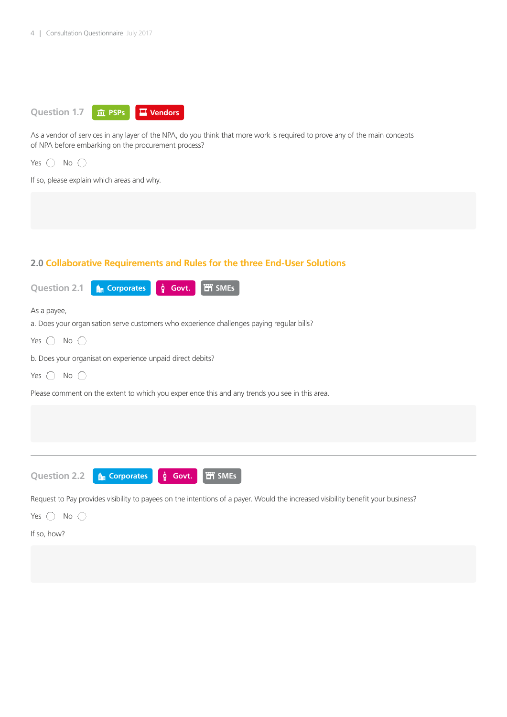

As a vendor of services in any layer of the NPA, do you think that more work is required to prove any of the main concepts of NPA before embarking on the procurement process?

Yes  $\bigcirc$  No  $\bigcirc$ 

If so, please explain which areas and why.

## **2.0 Collaborative Requirements and Rules for the three End-User Solutions**

| <b>THE SMES</b><br><b>Question 2.1</b><br><b>Au</b> Corporates<br>$\phi$ Govt.                                                   |
|----------------------------------------------------------------------------------------------------------------------------------|
| As a payee,<br>a. Does your organisation serve customers who experience challenges paying regular bills?                         |
| $No$ ( )<br>Yes $( )$                                                                                                            |
| b. Does your organisation experience unpaid direct debits?                                                                       |
| No $\bigcirc$<br>Yes $( )$                                                                                                       |
| Please comment on the extent to which you experience this and any trends you see in this area.                                   |
|                                                                                                                                  |
|                                                                                                                                  |
|                                                                                                                                  |
| <b>iii</b> SMEs<br><b>Question 2.2</b><br><b>A</b> Corporates<br>$\phi$ Govt.                                                    |
| Request to Pay provides visibility to payees on the intentions of a payer. Would the increased visibility benefit your business? |

Yes  $\bigcirc$  No  $\bigcirc$ 

If so, how?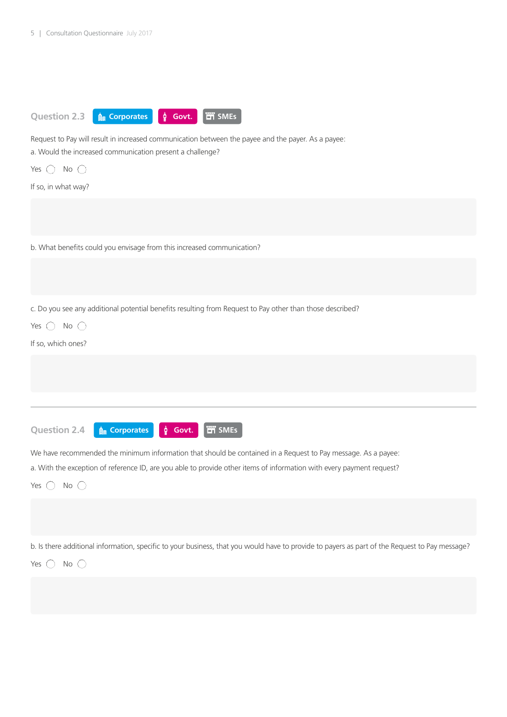

Request to Pay will result in increased communication between the payee and the payer. As a payee: a. Would the increased communication present a challenge?

Yes  $\bigcap$  No  $\bigcap$ 

If so, in what way?

b. What benefits could you envisage from this increased communication?

c. Do you see any additional potential benefits resulting from Request to Pay other than those described?

Yes  $\bigcirc$  No  $\bigcirc$ 

If so, which ones?

**Question 2.4**

**A Corporates**  $\phi$  **Govt.** T SMEs

We have recommended the minimum information that should be contained in a Request to Pay message. As a payee:

a. With the exception of reference ID, are you able to provide other items of information with every payment request?

Yes  $\bigcirc$  No  $\bigcirc$ 

b. Is there additional information, specific to your business, that you would have to provide to payers as part of the Request to Pay message?

Yes  $\bigcap$  No  $\bigcap$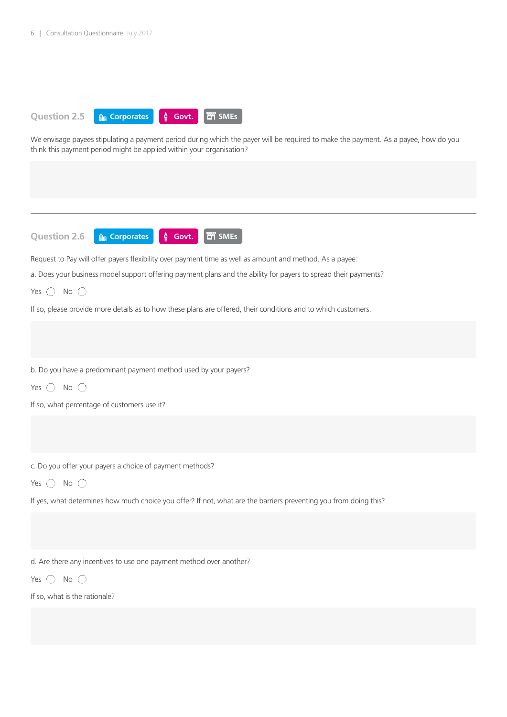

We envisage payees stipulating a payment period during which the payer will be required to make the payment. As a payee, how do you think this payment period might be applied within your organisation?

**Question 2.6 A** Corporates **C Govt. T** SMEs

Request to Pay will offer payers flexibility over payment time as well as amount and method. As a payee:

a. Does your business model support offering payment plans and the ability for payers to spread their payments?

Yes  $\bigcirc$  No  $\bigcirc$ 

If so, please provide more details as to how these plans are offered, their conditions and to which customers.

b. Do you have a predominant payment method used by your payers?

Yes  $\bigcap$  No  $\bigcap$ 

If so, what percentage of customers use it?

c. Do you offer your payers a choice of payment methods?

Yes  $\bigcirc$  No  $\bigcirc$ 

If yes, what determines how much choice you offer? If not, what are the barriers preventing you from doing this?

d. Are there any incentives to use one payment method over another?

Yes  $\bigcap$  No  $\bigcap$ 

If so, what is the rationale?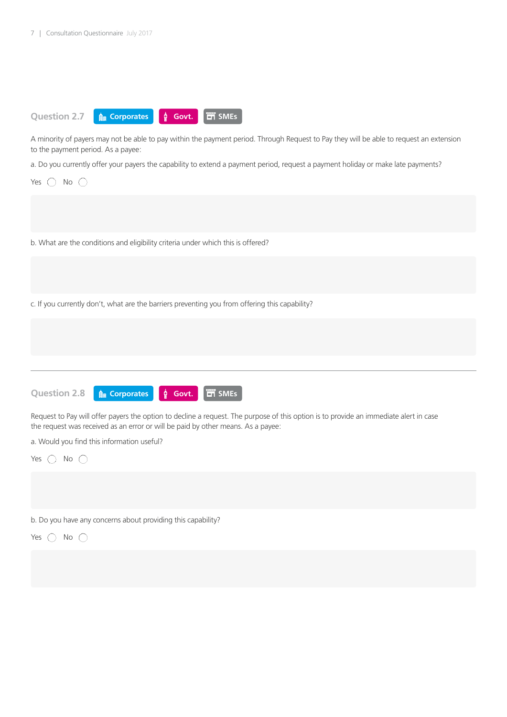

b. Do you have any concerns about providing this capability?

Yes  $\bigcirc$  No  $\bigcirc$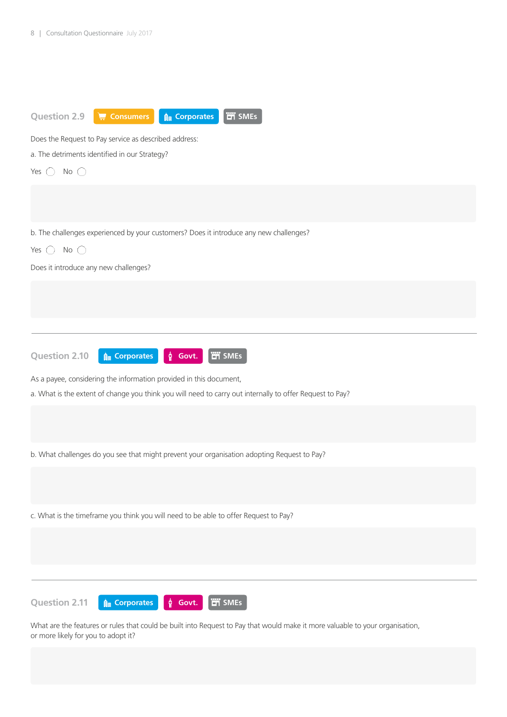

What are the features or rules that could be built into Request to Pay that would make it more valuable to your organisation, or more likely for you to adopt it?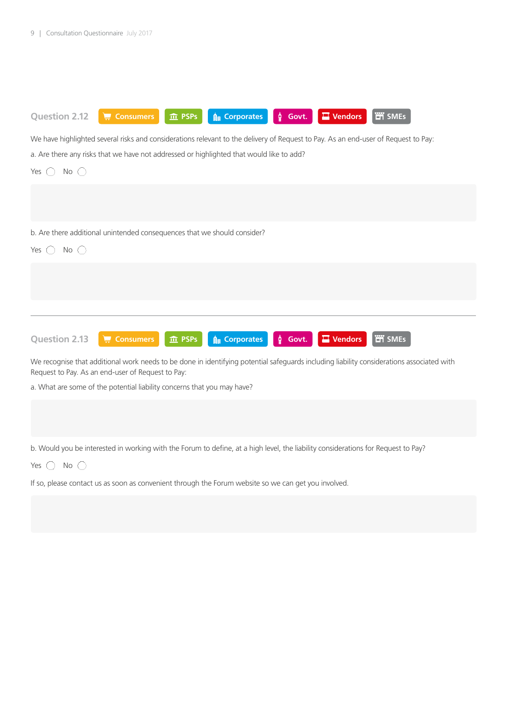

Request to Pay. As an end-user of Request to Pay:

a. What are some of the potential liability concerns that you may have?

b. Would you be interested in working with the Forum to define, at a high level, the liability considerations for Request to Pay?

Yes  $\bigcap$  No  $\bigcap$ 

If so, please contact us as soon as convenient through the Forum website so we can get you involved.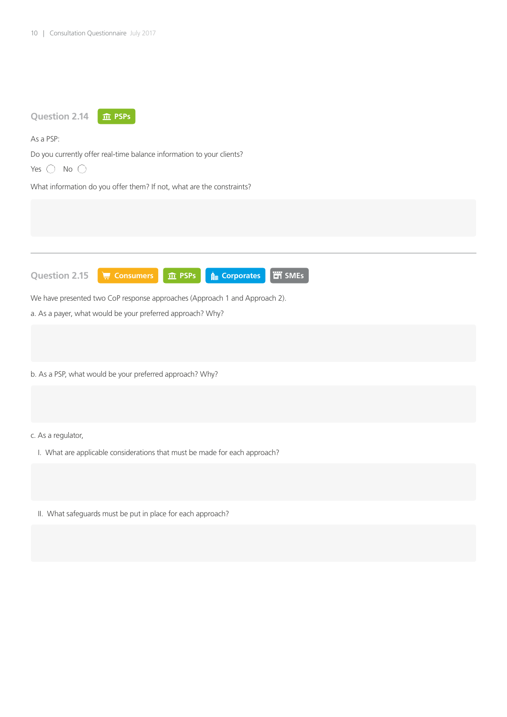

II. What safeguards must be put in place for each approach?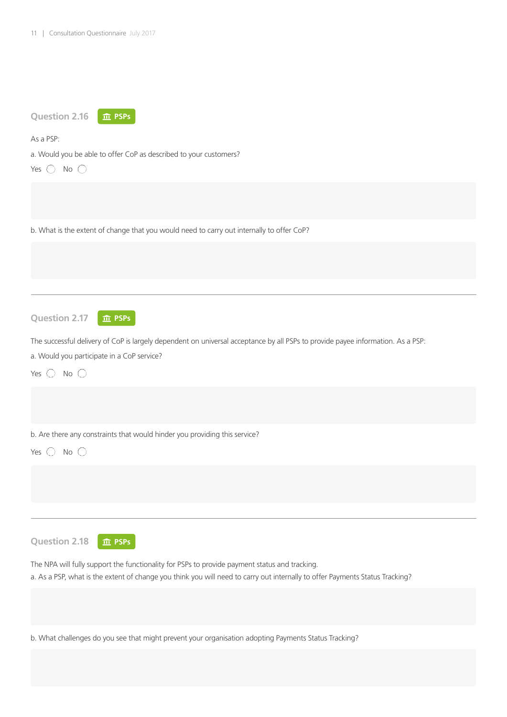| <b>Question 2.16</b><br><b>血 PSPs</b>                                                                                                                                                                                         |
|-------------------------------------------------------------------------------------------------------------------------------------------------------------------------------------------------------------------------------|
| As a PSP:                                                                                                                                                                                                                     |
| a. Would you be able to offer CoP as described to your customers?<br>Yes $\bigcirc$ No $\bigcirc$                                                                                                                             |
|                                                                                                                                                                                                                               |
| b. What is the extent of change that you would need to carry out internally to offer CoP?                                                                                                                                     |
|                                                                                                                                                                                                                               |
|                                                                                                                                                                                                                               |
| <b>Question 2.17</b><br>血 PSPs                                                                                                                                                                                                |
| The successful delivery of CoP is largely dependent on universal acceptance by all PSPs to provide payee information. As a PSP:                                                                                               |
| a. Would you participate in a CoP service?                                                                                                                                                                                    |
| No $\bigcirc$<br>Yes $\bigcirc$                                                                                                                                                                                               |
|                                                                                                                                                                                                                               |
| b. Are there any constraints that would hinder you providing this service?                                                                                                                                                    |
| No $\bigcirc$<br>Yes                                                                                                                                                                                                          |
|                                                                                                                                                                                                                               |
|                                                                                                                                                                                                                               |
| <b>Question 2.18</b><br><b>血 PSPs</b>                                                                                                                                                                                         |
| The NPA will fully support the functionality for PSPs to provide payment status and tracking.<br>a. As a PSP, what is the extent of change you think you will need to carry out internally to offer Payments Status Tracking? |
|                                                                                                                                                                                                                               |
| b. What challenges do you see that might prevent your organisation adopting Payments Status Tracking?                                                                                                                         |
|                                                                                                                                                                                                                               |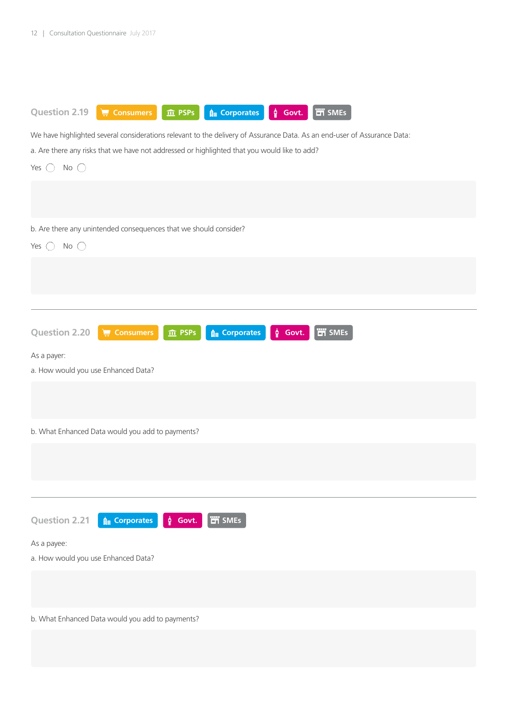| <b>ET SMEs</b><br><b>Question 2.19</b><br>$\sqrt{\frac{1}{n}}$ Consumers<br><b>A Corporates</b><br>$\phi$ Govt.<br>$\overline{m}$ PSPs |
|----------------------------------------------------------------------------------------------------------------------------------------|
| We have highlighted several considerations relevant to the delivery of Assurance Data. As an end-user of Assurance Data:               |
| a. Are there any risks that we have not addressed or highlighted that you would like to add?                                           |
| No $\bigcirc$<br>Yes $\bigcirc$                                                                                                        |
|                                                                                                                                        |
|                                                                                                                                        |
| b. Are there any unintended consequences that we should consider?                                                                      |
| No $\bigcirc$<br>Yes $\bigcirc$                                                                                                        |
|                                                                                                                                        |
|                                                                                                                                        |
|                                                                                                                                        |
|                                                                                                                                        |
|                                                                                                                                        |
| <b>TH</b> SMEs<br>Question 2.20<br>$\frac{1}{27}$ Consumers<br><b>A Corporates</b><br>$\oint$ Govt.<br><b>血 PSPs</b>                   |
| As a payer:                                                                                                                            |
| a. How would you use Enhanced Data?                                                                                                    |
|                                                                                                                                        |
|                                                                                                                                        |
| b. What Enhanced Data would you add to payments?                                                                                       |
|                                                                                                                                        |
|                                                                                                                                        |
|                                                                                                                                        |
|                                                                                                                                        |
|                                                                                                                                        |
| <b>TH</b> SMEs<br><b>Question 2.21</b><br>$\hat{\mathbf{g}}_{\parallel}$ Corporates<br>$\oint$ Govt.                                   |
| As a payee:                                                                                                                            |
| a. How would you use Enhanced Data?                                                                                                    |
|                                                                                                                                        |
|                                                                                                                                        |
| b. What Enhanced Data would you add to payments?                                                                                       |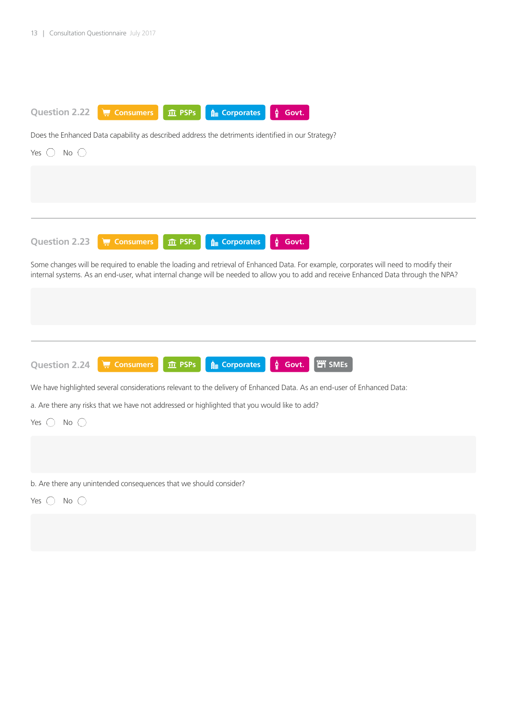

Does the Enhanced Data capability as described address the detriments identified in our Strategy?





We have highlighted several considerations relevant to the delivery of Enhanced Data. As an end-user of Enhanced Data:

a. Are there any risks that we have not addressed or highlighted that you would like to add?

Yes  $\bigcirc$  No  $\bigcirc$ 

b. Are there any unintended consequences that we should consider?

Yes  $\bigcirc$  No  $\bigcirc$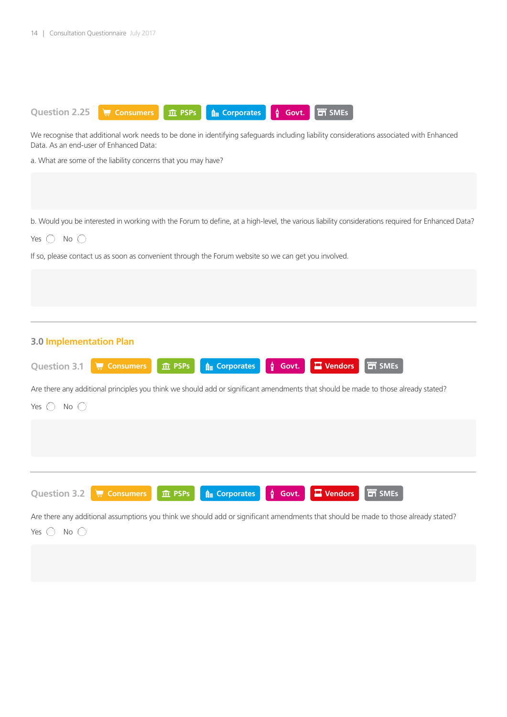

We recognise that additional work needs to be done in identifying safeguards including liability considerations associated with Enhanced Data. As an end-user of Enhanced Data:

a. What are some of the liability concerns that you may have?

b. Would you be interested in working with the Forum to define, at a high-level, the various liability considerations required for Enhanced Data?

Yes  $\bigcirc$  No  $\bigcirc$ 

Yes  $\bigcirc$  No  $\bigcirc$ 

If so, please contact us as soon as convenient through the Forum website so we can get you involved.

| <b>3.0 Implementation Plan</b>                                                                                                      |
|-------------------------------------------------------------------------------------------------------------------------------------|
| <b>T</b> SMEs<br>Vendors<br><b>A</b> Corporates<br>$\oint$ Govt.<br><b>Question 3.1</b><br>$\frac{1}{2}$ Consumers<br>血 PSPs        |
| Are there any additional principles you think we should add or significant amendments that should be made to those already stated?  |
| Yes (<br>No $\bigcirc$                                                                                                              |
|                                                                                                                                     |
|                                                                                                                                     |
|                                                                                                                                     |
|                                                                                                                                     |
| <b>Fill</b> SMEs<br><b>Question 3.2</b><br>Vendors<br>$\oint$ Govt.<br>$\frac{1}{2}$ Consumers<br>血 PSPs<br><b>Au Corporates</b>    |
| Are there any additional assumptions you think we should add or significant amendments that should be made to those already stated? |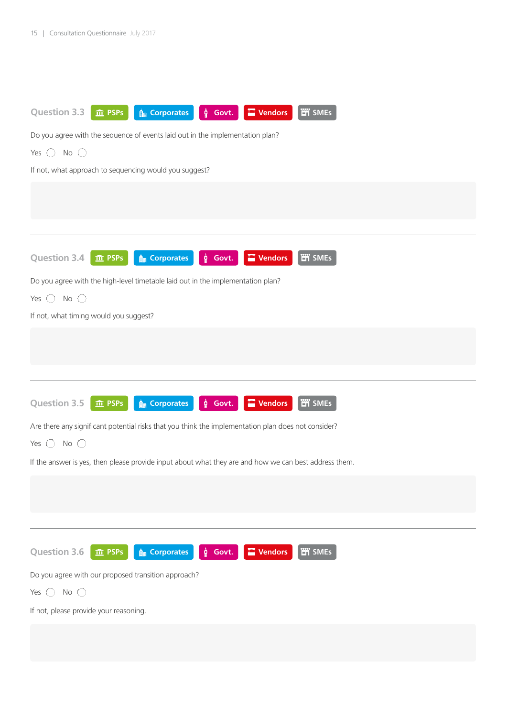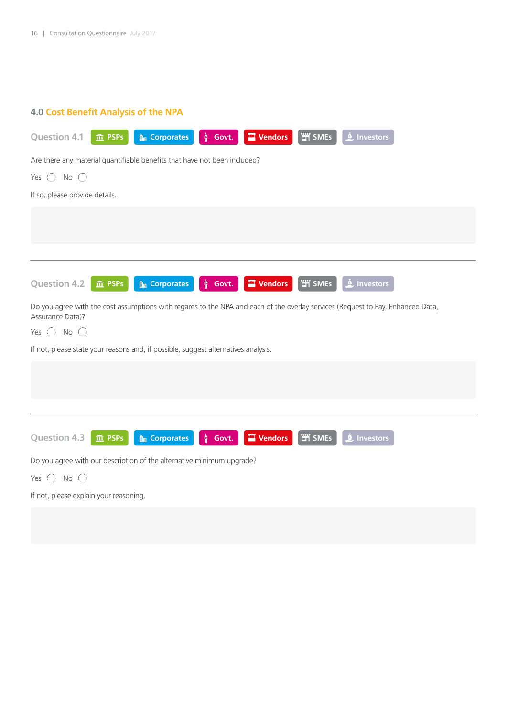# **4.0 Cost Benefit Analysis of the NPA**

| <b>ET</b> SMEs<br><b>Question 4.1</b><br>$\blacksquare$ Vendors<br><b>A</b> Corporates<br><u>Å</u> Investors<br>ĝ.<br><b>血 PSPs</b><br>Govt.        |
|-----------------------------------------------------------------------------------------------------------------------------------------------------|
| Are there any material quantifiable benefits that have not been included?                                                                           |
| No $\bigcirc$<br>Yes<br>$(\ )$                                                                                                                      |
| If so, please provide details.                                                                                                                      |
|                                                                                                                                                     |
|                                                                                                                                                     |
|                                                                                                                                                     |
| <b>im</b> SMEs<br><b>A</b> Corporates<br>$\blacksquare$ Vendors<br><u>A</u> Investors<br><b>Question 4.2</b><br>h<br><b>血 PSPs</b><br>Govt.         |
| Do you agree with the cost assumptions with regards to the NPA and each of the overlay services (Request to Pay, Enhanced Data,<br>Assurance Data)? |
| Yes $\bigcirc$<br>No $\bigcirc$                                                                                                                     |
| If not, please state your reasons and, if possible, suggest alternatives analysis.                                                                  |
|                                                                                                                                                     |
|                                                                                                                                                     |
|                                                                                                                                                     |
| <b>ET</b> SMEs<br><u>A</u> Investors<br><b>Question 4.3</b><br><b>A</b> Corporates<br><b>Wendors</b><br>ĝ.<br><b>血 PSPs</b><br>Govt.                |
| Do you agree with our description of the alternative minimum upgrade?                                                                               |
| No<br>(<br>Yes $( )$                                                                                                                                |
| If not, please explain your reasoning.                                                                                                              |
|                                                                                                                                                     |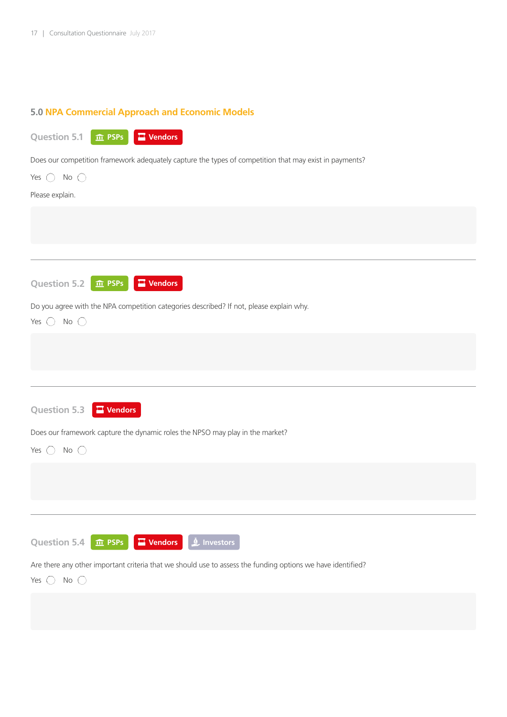# **5.0 NPA Commercial Approach and Economic Models**

| <b>Question 5.1</b> | <b>m</b> PSPs | $\Box$ Vendors |
|---------------------|---------------|----------------|
|---------------------|---------------|----------------|

Does our competition framework adequately capture the types of competition that may exist in payments?

| Yes $\bigcirc$ No $\bigcirc$                                                                                |
|-------------------------------------------------------------------------------------------------------------|
| Please explain.                                                                                             |
|                                                                                                             |
|                                                                                                             |
|                                                                                                             |
| <b>Question 5.2</b><br>$\blacksquare$ Vendors<br>$\hat{m}$ PSPs                                             |
| Do you agree with the NPA competition categories described? If not, please explain why.                     |
| Yes $\bigcirc$ No $\bigcirc$                                                                                |
|                                                                                                             |
|                                                                                                             |
|                                                                                                             |
| Question 5.3<br>$\blacksquare$ Vendors                                                                      |
| Does our framework capture the dynamic roles the NPSO may play in the market?                               |
| Yes $\bigcirc$<br>No $\bigcirc$                                                                             |
|                                                                                                             |
|                                                                                                             |
|                                                                                                             |
|                                                                                                             |
| <u>O</u> Investors<br><b>Question 5.4</b><br>$\blacksquare$ Vendors<br><b>血 PSPs</b>                        |
| Are there any other important criteria that we should use to assess the funding options we have identified? |
| No $\bigcirc$<br>Yes $\bigcirc$                                                                             |
|                                                                                                             |
|                                                                                                             |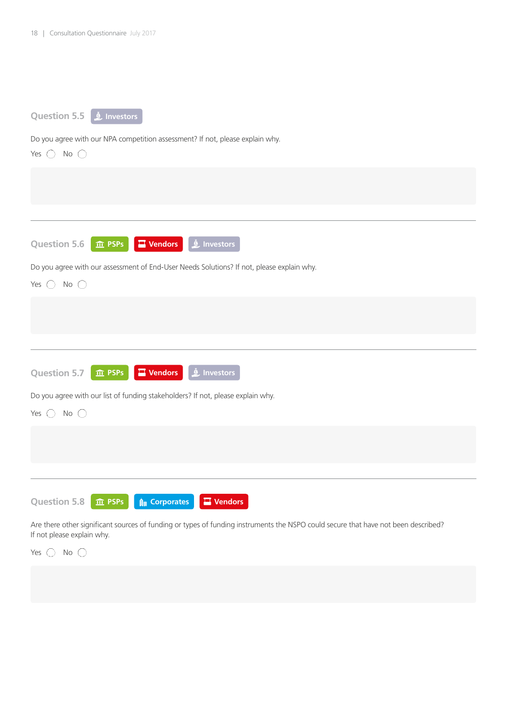| Question 5.5 <b>Algency</b> Investors                                                                                                                            |
|------------------------------------------------------------------------------------------------------------------------------------------------------------------|
| Do you agree with our NPA competition assessment? If not, please explain why.                                                                                    |
| Yes $\bigcirc$ No $\bigcirc$                                                                                                                                     |
|                                                                                                                                                                  |
|                                                                                                                                                                  |
|                                                                                                                                                                  |
| <b>Question 5.6</b><br>$\blacksquare$ Vendors<br><u>L</u> Investors                                                                                              |
| <b>血 PSPs</b>                                                                                                                                                    |
| Do you agree with our assessment of End-User Needs Solutions? If not, please explain why.                                                                        |
| No $\bigcirc$<br>Yes $\bigcirc$                                                                                                                                  |
|                                                                                                                                                                  |
|                                                                                                                                                                  |
|                                                                                                                                                                  |
|                                                                                                                                                                  |
| $\blacksquare$ Vendors<br><u>I</u> Investors<br><b>Question 5.7</b><br><b>血 PSPs</b>                                                                             |
| Do you agree with our list of funding stakeholders? If not, please explain why.                                                                                  |
| No $\bigcirc$<br>Yes $\bigcirc$                                                                                                                                  |
|                                                                                                                                                                  |
|                                                                                                                                                                  |
|                                                                                                                                                                  |
|                                                                                                                                                                  |
| <b>Question 5.8</b><br><b>A Corporates</b><br><b>Wendors</b><br><b>血 PSPs</b>                                                                                    |
| Are there other significant sources of funding or types of funding instruments the NSPO could secure that have not been described?<br>If not please explain why. |

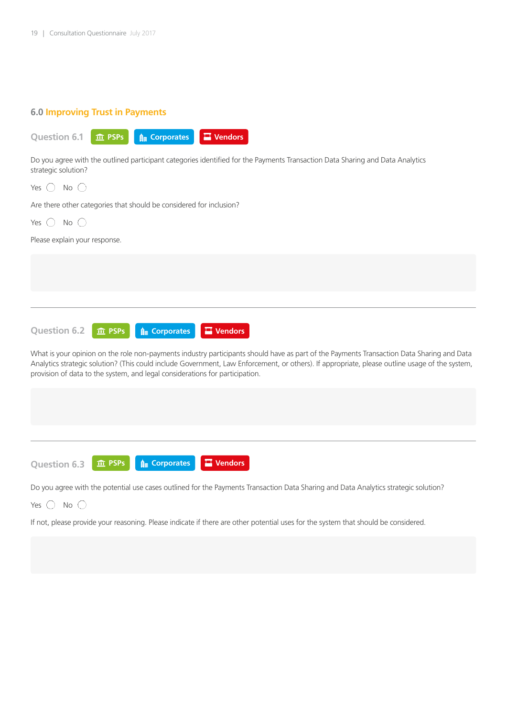## **6.0 Improving Trust in Payments**



Do you agree with the outlined participant categories identified for the Payments Transaction Data Sharing and Data Analytics strategic solution?

| Yes $($<br>$No$ ( )                                                                                                                                                                                                                                                                                                                                                         |
|-----------------------------------------------------------------------------------------------------------------------------------------------------------------------------------------------------------------------------------------------------------------------------------------------------------------------------------------------------------------------------|
| Are there other categories that should be considered for inclusion?                                                                                                                                                                                                                                                                                                         |
| No $\bigcirc$<br>Yes $( )$                                                                                                                                                                                                                                                                                                                                                  |
| Please explain your response.                                                                                                                                                                                                                                                                                                                                               |
|                                                                                                                                                                                                                                                                                                                                                                             |
|                                                                                                                                                                                                                                                                                                                                                                             |
|                                                                                                                                                                                                                                                                                                                                                                             |
|                                                                                                                                                                                                                                                                                                                                                                             |
| <b>Question 6.2</b><br><b>A</b> Corporates<br>$\blacksquare$ Vendors<br><b>血 PSPs</b>                                                                                                                                                                                                                                                                                       |
| What is your opinion on the role non-payments industry participants should have as part of the Payments Transaction Data Sharing and Data<br>Analytics strategic solution? (This could include Government, Law Enforcement, or others). If appropriate, please outline usage of the system,<br>provision of data to the system, and legal considerations for participation. |
|                                                                                                                                                                                                                                                                                                                                                                             |
|                                                                                                                                                                                                                                                                                                                                                                             |
|                                                                                                                                                                                                                                                                                                                                                                             |
| $\blacksquare$ Vendors<br><b>A</b> Corporates<br><b>血 PSPs</b><br><b>Question 6.3</b>                                                                                                                                                                                                                                                                                       |

Do you agree with the potential use cases outlined for the Payments Transaction Data Sharing and Data Analytics strategic solution?

Yes  $\bigcirc$  No  $\bigcirc$ 

If not, please provide your reasoning. Please indicate if there are other potential uses for the system that should be considered.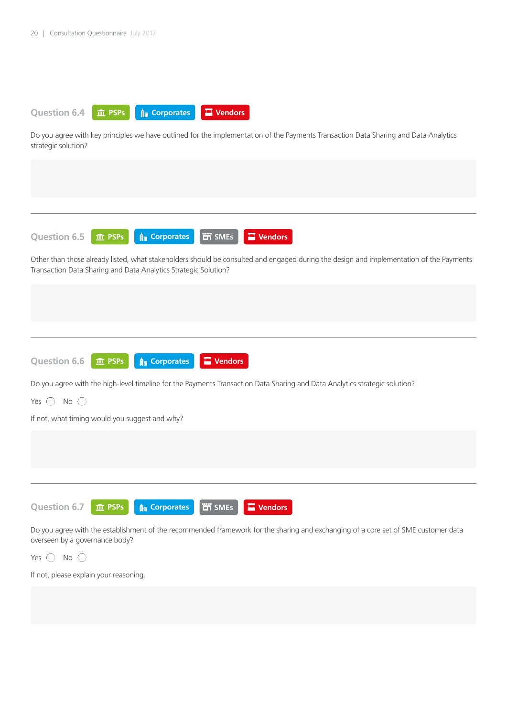

Do you agree with key principles we have outlined for the implementation of the Payments Transaction Data Sharing and Data Analytics strategic solution?

**Question 6.5 10** PSPs  $\theta$  **Corporates**  $\theta$  **PT** SMEs **C** Vendors

Other than those already listed, what stakeholders should be consulted and engaged during the design and implementation of the Payments Transaction Data Sharing and Data Analytics Strategic Solution?



Do you agree with the high-level timeline for the Payments Transaction Data Sharing and Data Analytics strategic solution?

Yes  $\bigcirc$  No  $\bigcirc$ 

If not, what timing would you suggest and why?



Do you agree with the establishment of the recommended framework for the sharing and exchanging of a core set of SME customer data overseen by a governance body?

Yes  $\bigcap$  No  $\bigcap$ 

If not, please explain your reasoning.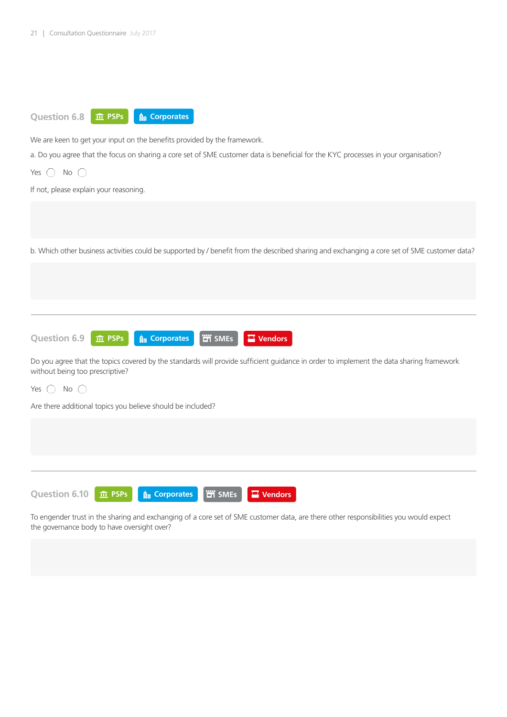

We are keen to get your input on the benefits provided by the framework.

a. Do you agree that the focus on sharing a core set of SME customer data is beneficial for the KYC processes in your organisation?

Yes  $\bigcirc$  No  $\bigcirc$ 

If not, please explain your reasoning.

b. Which other business activities could be supported by / benefit from the described sharing and exchanging a core set of SME customer data?



Do you agree that the topics covered by the standards will provide sufficient guidance in order to implement the data sharing framework without being too prescriptive?

### Yes  $\bigcap$  No  $\bigcap$

Are there additional topics you believe should be included?

**Question 6.10**

**ft PSPs** | A Corporates | 凹 SMEs | 口 Vendors

To engender trust in the sharing and exchanging of a core set of SME customer data, are there other responsibilities you would expect the governance body to have oversight over?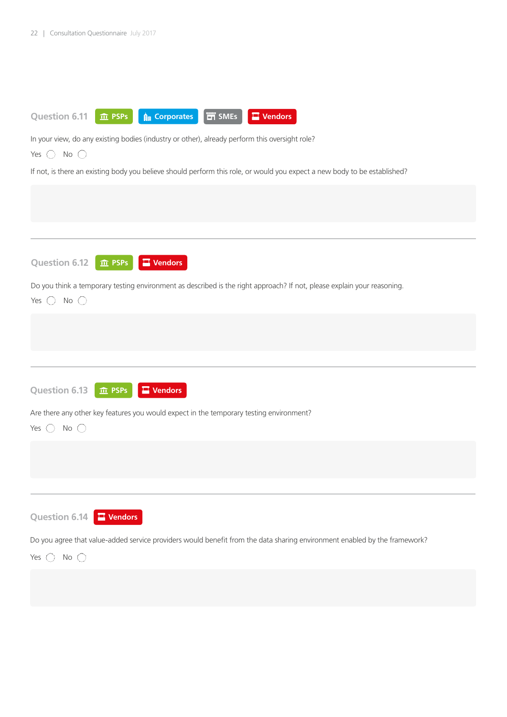